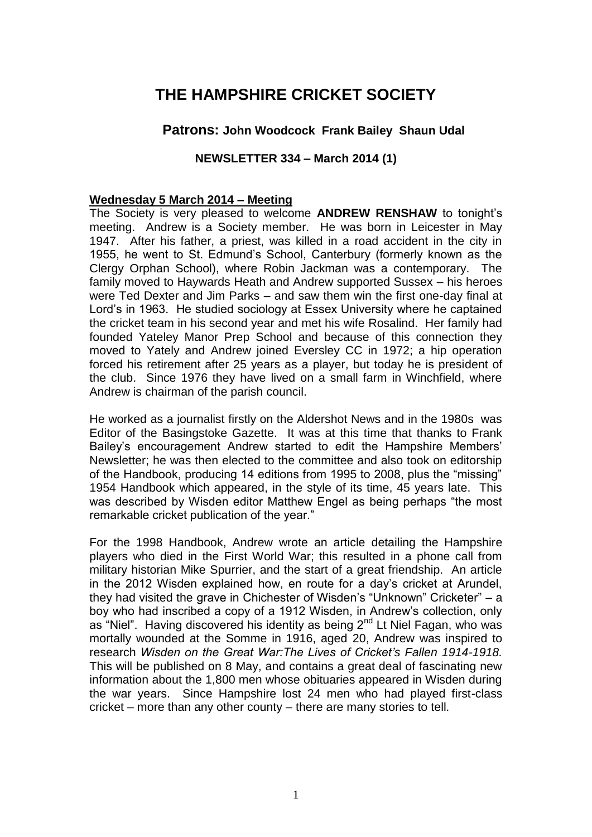# **THE HAMPSHIRE CRICKET SOCIETY**

# **Patrons: John Woodcock Frank Bailey Shaun Udal**

## **NEWSLETTER 334 – March 2014 (1)**

#### **Wednesday 5 March 2014 – Meeting**

The Society is very pleased to welcome **ANDREW RENSHAW** to tonight's meeting. Andrew is a Society member. He was born in Leicester in May 1947. After his father, a priest, was killed in a road accident in the city in 1955, he went to St. Edmund's School, Canterbury (formerly known as the Clergy Orphan School), where Robin Jackman was a contemporary. The family moved to Haywards Heath and Andrew supported Sussex – his heroes were Ted Dexter and Jim Parks – and saw them win the first one-day final at Lord's in 1963. He studied sociology at Essex University where he captained the cricket team in his second year and met his wife Rosalind. Her family had founded Yateley Manor Prep School and because of this connection they moved to Yately and Andrew joined Eversley CC in 1972; a hip operation forced his retirement after 25 years as a player, but today he is president of the club. Since 1976 they have lived on a small farm in Winchfield, where Andrew is chairman of the parish council.

He worked as a journalist firstly on the Aldershot News and in the 1980s was Editor of the Basingstoke Gazette. It was at this time that thanks to Frank Bailey's encouragement Andrew started to edit the Hampshire Members' Newsletter; he was then elected to the committee and also took on editorship of the Handbook, producing 14 editions from 1995 to 2008, plus the "missing" 1954 Handbook which appeared, in the style of its time, 45 years late. This was described by Wisden editor Matthew Engel as being perhaps "the most remarkable cricket publication of the year."

For the 1998 Handbook, Andrew wrote an article detailing the Hampshire players who died in the First World War; this resulted in a phone call from military historian Mike Spurrier, and the start of a great friendship. An article in the 2012 Wisden explained how, en route for a day's cricket at Arundel, they had visited the grave in Chichester of Wisden's "Unknown" Cricketer" – a boy who had inscribed a copy of a 1912 Wisden, in Andrew's collection, only as "Niel". Having discovered his identity as being 2<sup>nd</sup> Lt Niel Fagan, who was mortally wounded at the Somme in 1916, aged 20, Andrew was inspired to research *Wisden on the Great War:The Lives of Cricket's Fallen 1914-1918.*  This will be published on 8 May, and contains a great deal of fascinating new information about the 1,800 men whose obituaries appeared in Wisden during the war years. Since Hampshire lost 24 men who had played first-class cricket – more than any other county – there are many stories to tell.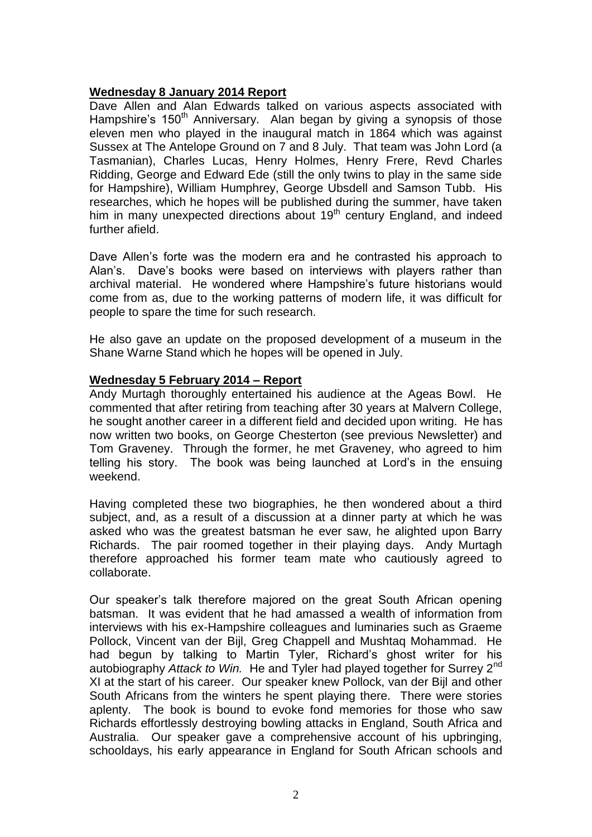## **Wednesday 8 January 2014 Report**

Dave Allen and Alan Edwards talked on various aspects associated with Hampshire's 150<sup>th</sup> Anniversary. Alan began by giving a synopsis of those eleven men who played in the inaugural match in 1864 which was against Sussex at The Antelope Ground on 7 and 8 July. That team was John Lord (a Tasmanian), Charles Lucas, Henry Holmes, Henry Frere, Revd Charles Ridding, George and Edward Ede (still the only twins to play in the same side for Hampshire), William Humphrey, George Ubsdell and Samson Tubb. His researches, which he hopes will be published during the summer, have taken him in many unexpected directions about 19<sup>th</sup> century England, and indeed further afield.

Dave Allen's forte was the modern era and he contrasted his approach to Alan's. Dave's books were based on interviews with players rather than archival material. He wondered where Hampshire's future historians would come from as, due to the working patterns of modern life, it was difficult for people to spare the time for such research.

He also gave an update on the proposed development of a museum in the Shane Warne Stand which he hopes will be opened in July.

### **Wednesday 5 February 2014 – Report**

Andy Murtagh thoroughly entertained his audience at the Ageas Bowl. He commented that after retiring from teaching after 30 years at Malvern College, he sought another career in a different field and decided upon writing. He has now written two books, on George Chesterton (see previous Newsletter) and Tom Graveney. Through the former, he met Graveney, who agreed to him telling his story. The book was being launched at Lord's in the ensuing weekend.

Having completed these two biographies, he then wondered about a third subject, and, as a result of a discussion at a dinner party at which he was asked who was the greatest batsman he ever saw, he alighted upon Barry Richards. The pair roomed together in their playing days. Andy Murtagh therefore approached his former team mate who cautiously agreed to collaborate.

Our speaker's talk therefore majored on the great South African opening batsman. It was evident that he had amassed a wealth of information from interviews with his ex-Hampshire colleagues and luminaries such as Graeme Pollock, Vincent van der Bijl, Greg Chappell and Mushtaq Mohammad. He had begun by talking to Martin Tyler, Richard's ghost writer for his autobiography *Attack to Win.* He and Tyler had played together for Surrey 2nd XI at the start of his career. Our speaker knew Pollock, van der Bijl and other South Africans from the winters he spent playing there. There were stories aplenty. The book is bound to evoke fond memories for those who saw Richards effortlessly destroying bowling attacks in England, South Africa and Australia. Our speaker gave a comprehensive account of his upbringing, schooldays, his early appearance in England for South African schools and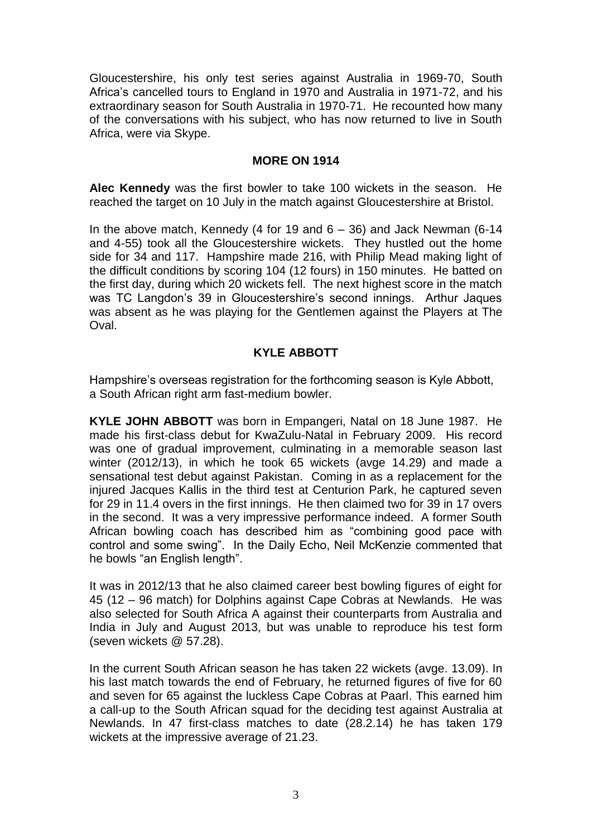Gloucestershire, his only test series against Australia in 1969-70, South Africa's cancelled tours to England in 1970 and Australia in 1971-72, and his extraordinary season for South Australia in 1970-71. He recounted how many of the conversations with his subject, who has now returned to live in South Africa, were via Skype.

### **MORE ON 1914**

**Alec Kennedy** was the first bowler to take 100 wickets in the season. He reached the target on 10 July in the match against Gloucestershire at Bristol.

In the above match, Kennedy (4 for 19 and  $6 - 36$ ) and Jack Newman (6-14 and 4-55) took all the Gloucestershire wickets. They hustled out the home side for 34 and 117. Hampshire made 216, with Philip Mead making light of the difficult conditions by scoring 104 (12 fours) in 150 minutes. He batted on the first day, during which 20 wickets fell. The next highest score in the match was TC Langdon's 39 in Gloucestershire's second innings. Arthur Jaques was absent as he was playing for the Gentlemen against the Players at The Oval.

## **KYLE ABBOTT**

Hampshire's overseas registration for the forthcoming season is Kyle Abbott, a South African right arm fast-medium bowler.

**KYLE JOHN ABBOTT** was born in Empangeri, Natal on 18 June 1987. He made his first-class debut for KwaZulu-Natal in February 2009. His record was one of gradual improvement, culminating in a memorable season last winter (2012/13), in which he took 65 wickets (avge 14.29) and made a sensational test debut against Pakistan. Coming in as a replacement for the injured Jacques Kallis in the third test at Centurion Park, he captured seven for 29 in 11.4 overs in the first innings. He then claimed two for 39 in 17 overs in the second. It was a very impressive performance indeed. A former South African bowling coach has described him as "combining good pace with control and some swing". In the Daily Echo, Neil McKenzie commented that he bowls "an English length".

It was in 2012/13 that he also claimed career best bowling figures of eight for 45 (12 – 96 match) for Dolphins against Cape Cobras at Newlands. He was also selected for South Africa A against their counterparts from Australia and India in July and August 2013, but was unable to reproduce his test form (seven wickets @ 57.28).

In the current South African season he has taken 22 wickets (avge. 13.09). In his last match towards the end of February, he returned figures of five for 60 and seven for 65 against the luckless Cape Cobras at Paarl. This earned him a call-up to the South African squad for the deciding test against Australia at Newlands. In 47 first-class matches to date (28.2.14) he has taken 179 wickets at the impressive average of 21.23.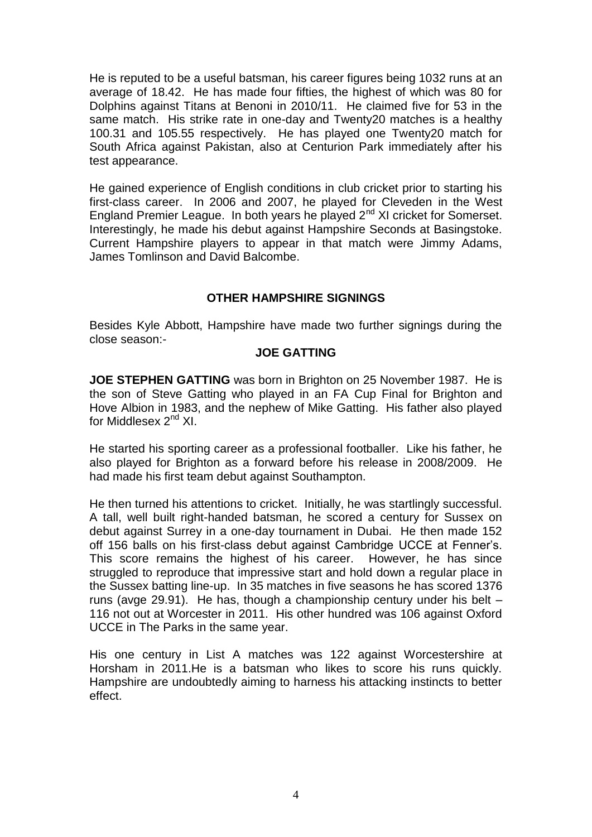He is reputed to be a useful batsman, his career figures being 1032 runs at an average of 18.42. He has made four fifties, the highest of which was 80 for Dolphins against Titans at Benoni in 2010/11. He claimed five for 53 in the same match. His strike rate in one-day and Twenty20 matches is a healthy 100.31 and 105.55 respectively. He has played one Twenty20 match for South Africa against Pakistan, also at Centurion Park immediately after his test appearance.

He gained experience of English conditions in club cricket prior to starting his first-class career. In 2006 and 2007, he played for Cleveden in the West England Premier League. In both years he played  $2<sup>nd</sup>$  XI cricket for Somerset. Interestingly, he made his debut against Hampshire Seconds at Basingstoke. Current Hampshire players to appear in that match were Jimmy Adams, James Tomlinson and David Balcombe.

## **OTHER HAMPSHIRE SIGNINGS**

Besides Kyle Abbott, Hampshire have made two further signings during the close season:-

### **JOE GATTING**

**JOE STEPHEN GATTING** was born in Brighton on 25 November 1987. He is the son of Steve Gatting who played in an FA Cup Final for Brighton and Hove Albion in 1983, and the nephew of Mike Gatting. His father also played for Middlesex 2<sup>nd</sup> XI.

He started his sporting career as a professional footballer. Like his father, he also played for Brighton as a forward before his release in 2008/2009. He had made his first team debut against Southampton.

He then turned his attentions to cricket. Initially, he was startlingly successful. A tall, well built right-handed batsman, he scored a century for Sussex on debut against Surrey in a one-day tournament in Dubai. He then made 152 off 156 balls on his first-class debut against Cambridge UCCE at Fenner's. This score remains the highest of his career. However, he has since struggled to reproduce that impressive start and hold down a regular place in the Sussex batting line-up. In 35 matches in five seasons he has scored 1376 runs (avge 29.91). He has, though a championship century under his belt – 116 not out at Worcester in 2011. His other hundred was 106 against Oxford UCCE in The Parks in the same year.

His one century in List A matches was 122 against Worcestershire at Horsham in 2011.He is a batsman who likes to score his runs quickly. Hampshire are undoubtedly aiming to harness his attacking instincts to better effect.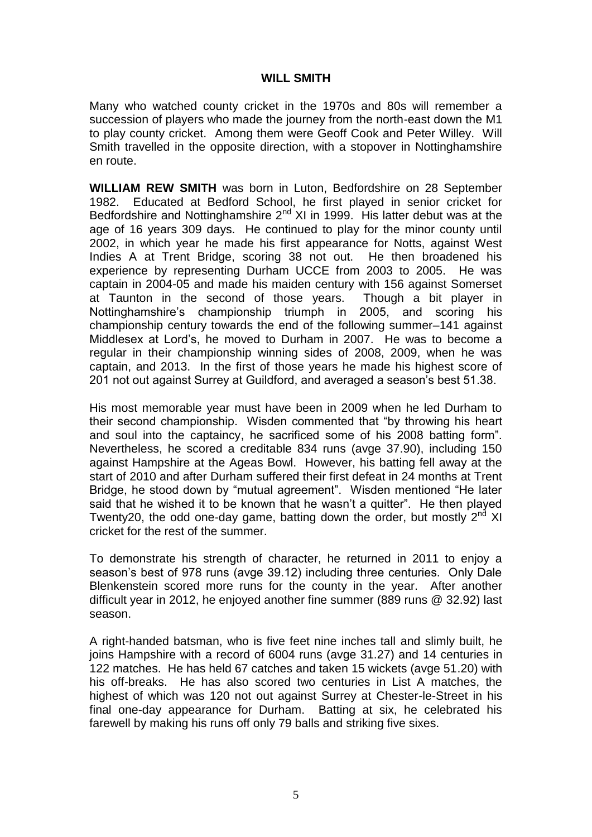### **WILL SMITH**

Many who watched county cricket in the 1970s and 80s will remember a succession of players who made the journey from the north-east down the M1 to play county cricket. Among them were Geoff Cook and Peter Willey. Will Smith travelled in the opposite direction, with a stopover in Nottinghamshire en route.

**WILLIAM REW SMITH** was born in Luton, Bedfordshire on 28 September 1982. Educated at Bedford School, he first played in senior cricket for Bedfordshire and Nottinghamshire  $2^{nd}$  XI in 1999. His latter debut was at the age of 16 years 309 days. He continued to play for the minor county until 2002, in which year he made his first appearance for Notts, against West Indies A at Trent Bridge, scoring 38 not out. He then broadened his experience by representing Durham UCCE from 2003 to 2005. He was captain in 2004-05 and made his maiden century with 156 against Somerset at Taunton in the second of those years. Though a bit player in Nottinghamshire's championship triumph in 2005, and scoring his championship century towards the end of the following summer–141 against Middlesex at Lord's, he moved to Durham in 2007. He was to become a regular in their championship winning sides of 2008, 2009, when he was captain, and 2013. In the first of those years he made his highest score of 201 not out against Surrey at Guildford, and averaged a season's best 51.38.

His most memorable year must have been in 2009 when he led Durham to their second championship. Wisden commented that "by throwing his heart and soul into the captaincy, he sacrificed some of his 2008 batting form". Nevertheless, he scored a creditable 834 runs (avge 37.90), including 150 against Hampshire at the Ageas Bowl. However, his batting fell away at the start of 2010 and after Durham suffered their first defeat in 24 months at Trent Bridge, he stood down by "mutual agreement". Wisden mentioned "He later said that he wished it to be known that he wasn't a quitter". He then played Twenty20, the odd one-day game, batting down the order, but mostly  $2<sup>nd</sup>$  XI cricket for the rest of the summer.

To demonstrate his strength of character, he returned in 2011 to enjoy a season's best of 978 runs (avge 39.12) including three centuries. Only Dale Blenkenstein scored more runs for the county in the year. After another difficult year in 2012, he enjoyed another fine summer (889 runs @ 32.92) last season.

A right-handed batsman, who is five feet nine inches tall and slimly built, he joins Hampshire with a record of 6004 runs (avge 31.27) and 14 centuries in 122 matches. He has held 67 catches and taken 15 wickets (avge 51.20) with his off-breaks. He has also scored two centuries in List A matches, the highest of which was 120 not out against Surrey at Chester-le-Street in his final one-day appearance for Durham. Batting at six, he celebrated his farewell by making his runs off only 79 balls and striking five sixes.